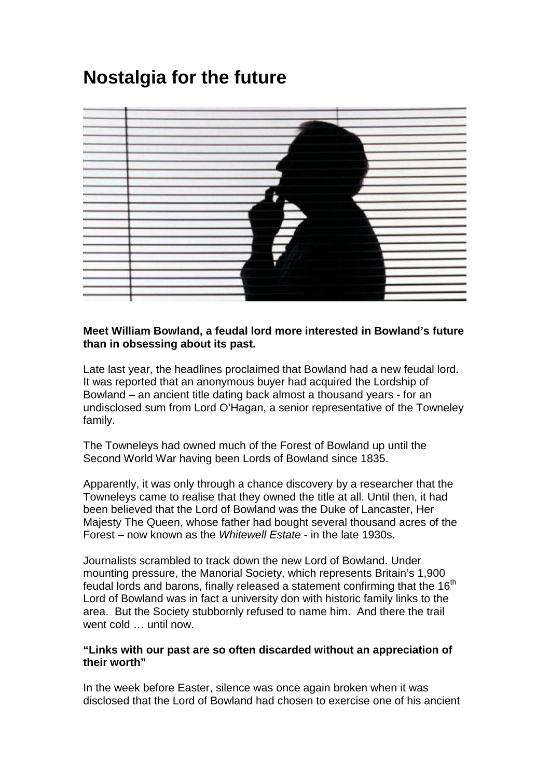# **Nostalgia for the future**



## **Meet William Bowland, a feudal lord more interested in Bowland's future than in obsessing about its past.**

Late last year, the headlines proclaimed that Bowland had a new feudal lord. It was reported that an anonymous buyer had acquired the Lordship of Bowland – an ancient title dating back almost a thousand years - for an undisclosed sum from Lord O'Hagan, a senior representative of the Towneley family.

The Towneleys had owned much of the Forest of Bowland up until the Second World War having been Lords of Bowland since 1835.

Apparently, it was only through a chance discovery by a researcher that the Towneleys came to realise that they owned the title at all. Until then, it had been believed that the Lord of Bowland was the Duke of Lancaster, Her Majesty The Queen, whose father had bought several thousand acres of the Forest – now known as the Whitewell Estate - in the late 1930s.

Journalists scrambled to track down the new Lord of Bowland. Under mounting pressure, the Manorial Society, which represents Britain's 1,900 feudal lords and barons, finally released a statement confirming that the  $16<sup>th</sup>$ Lord of Bowland was in fact a university don with historic family links to the area. But the Society stubbornly refused to name him. And there the trail went cold … until now.

### **"Links with our past are so often discarded without an appreciation of their worth"**

In the week before Easter, silence was once again broken when it was disclosed that the Lord of Bowland had chosen to exercise one of his ancient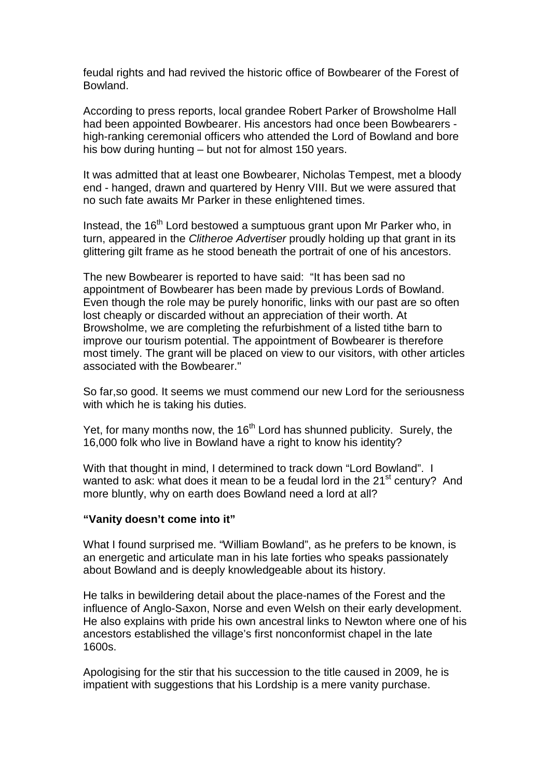feudal rights and had revived the historic office of Bowbearer of the Forest of Bowland.

According to press reports, local grandee Robert Parker of Browsholme Hall had been appointed Bowbearer. His ancestors had once been Bowbearers high-ranking ceremonial officers who attended the Lord of Bowland and bore his bow during hunting – but not for almost 150 years.

It was admitted that at least one Bowbearer, Nicholas Tempest, met a bloody end - hanged, drawn and quartered by Henry VIII. But we were assured that no such fate awaits Mr Parker in these enlightened times.

Instead, the 16<sup>th</sup> Lord bestowed a sumptuous grant upon Mr Parker who, in turn, appeared in the Clitheroe Advertiser proudly holding up that grant in its glittering gilt frame as he stood beneath the portrait of one of his ancestors.

The new Bowbearer is reported to have said: "It has been sad no appointment of Bowbearer has been made by previous Lords of Bowland. Even though the role may be purely honorific, links with our past are so often lost cheaply or discarded without an appreciation of their worth. At Browsholme, we are completing the refurbishment of a listed tithe barn to improve our tourism potential. The appointment of Bowbearer is therefore most timely. The grant will be placed on view to our visitors, with other articles associated with the Bowbearer."

So far,so good. It seems we must commend our new Lord for the seriousness with which he is taking his duties.

Yet, for many months now, the  $16<sup>th</sup>$  Lord has shunned publicity. Surely, the 16,000 folk who live in Bowland have a right to know his identity?

With that thought in mind, I determined to track down "Lord Bowland". I wanted to ask: what does it mean to be a feudal lord in the 21<sup>st</sup> century? And more bluntly, why on earth does Bowland need a lord at all?

#### **"Vanity doesn't come into it"**

What I found surprised me. "William Bowland", as he prefers to be known, is an energetic and articulate man in his late forties who speaks passionately about Bowland and is deeply knowledgeable about its history.

He talks in bewildering detail about the place-names of the Forest and the influence of Anglo-Saxon, Norse and even Welsh on their early development. He also explains with pride his own ancestral links to Newton where one of his ancestors established the village's first nonconformist chapel in the late 1600s.

Apologising for the stir that his succession to the title caused in 2009, he is impatient with suggestions that his Lordship is a mere vanity purchase.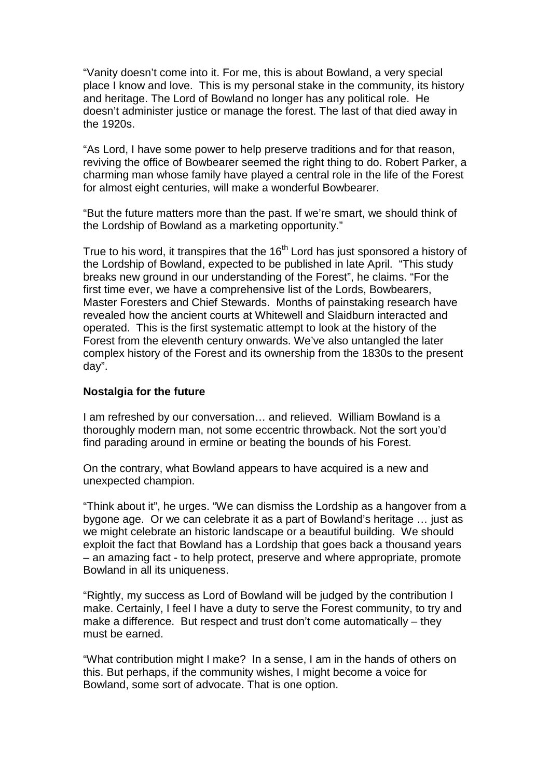"Vanity doesn't come into it. For me, this is about Bowland, a very special place I know and love. This is my personal stake in the community, its history and heritage. The Lord of Bowland no longer has any political role. He doesn't administer justice or manage the forest. The last of that died away in the 1920s.

"As Lord, I have some power to help preserve traditions and for that reason, reviving the office of Bowbearer seemed the right thing to do. Robert Parker, a charming man whose family have played a central role in the life of the Forest for almost eight centuries, will make a wonderful Bowbearer.

"But the future matters more than the past. If we're smart, we should think of the Lordship of Bowland as a marketing opportunity."

True to his word, it transpires that the  $16<sup>th</sup>$  Lord has just sponsored a history of the Lordship of Bowland, expected to be published in late April. "This study breaks new ground in our understanding of the Forest", he claims. "For the first time ever, we have a comprehensive list of the Lords, Bowbearers, Master Foresters and Chief Stewards. Months of painstaking research have revealed how the ancient courts at Whitewell and Slaidburn interacted and operated. This is the first systematic attempt to look at the history of the Forest from the eleventh century onwards. We've also untangled the later complex history of the Forest and its ownership from the 1830s to the present day".

## **Nostalgia for the future**

I am refreshed by our conversation… and relieved. William Bowland is a thoroughly modern man, not some eccentric throwback. Not the sort you'd find parading around in ermine or beating the bounds of his Forest.

On the contrary, what Bowland appears to have acquired is a new and unexpected champion.

"Think about it", he urges. "We can dismiss the Lordship as a hangover from a bygone age. Or we can celebrate it as a part of Bowland's heritage … just as we might celebrate an historic landscape or a beautiful building. We should exploit the fact that Bowland has a Lordship that goes back a thousand years – an amazing fact - to help protect, preserve and where appropriate, promote Bowland in all its uniqueness.

"Rightly, my success as Lord of Bowland will be judged by the contribution I make. Certainly, I feel I have a duty to serve the Forest community, to try and make a difference. But respect and trust don't come automatically – they must be earned.

"What contribution might I make? In a sense, I am in the hands of others on this. But perhaps, if the community wishes, I might become a voice for Bowland, some sort of advocate. That is one option.